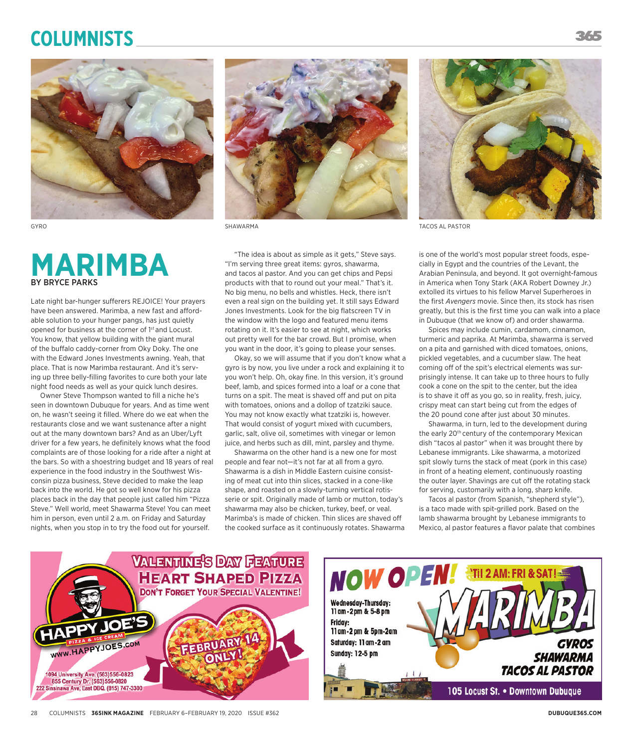# **Columnists**



## **MARIMBA** BY BRYCE PARKS

Late night bar-hunger sufferers REJOICE! Your prayers have been answered. Marimba, a new fast and affordable solution to your hunger pangs, has just quietly opened for business at the corner of 1st and Locust. You know, that yellow building with the giant mural of the buffalo caddy-corner from Oky Doky. The one with the Edward Jones Investments awning. Yeah, that place. That is now Marimba restaurant. And it's serving up three belly-filling favorites to cure both your late night food needs as well as your quick lunch desires.

Owner Steve Thompson wanted to fill a niche he's seen in downtown Dubuque for years. And as time went on, he wasn't seeing it filled. Where do we eat when the restaurants close and we want sustenance after a night out at the many downtown bars? And as an Uber/Lyft driver for a few years, he definitely knows what the food complaints are of those looking for a ride after a night at the bars. So with a shoestring budget and 18 years of real experience in the food industry in the Southwest Wisconsin pizza business, Steve decided to make the leap back into the world. He got so well know for his pizza places back in the day that people just called him "Pizza Steve." Well world, meet Shawarma Steve! You can meet him in person, even until 2 a.m. on Friday and Saturday nights, when you stop in to try the food out for yourself.



"The idea is about as simple as it gets," Steve says. "I'm serving three great items: gyros, shawarma, and tacos al pastor. And you can get chips and Pepsi products with that to round out your meal." That's it. No big menu, no bells and whistles. Heck, there isn't even a real sign on the building yet. It still says Edward Jones Investments. Look for the big flatscreen TV in the window with the logo and featured menu items rotating on it. It's easier to see at night, which works out pretty well for the bar crowd. But I promise, when you want in the door, it's going to please your senses.

Okay, so we will assume that if you don't know what a gyro is by now, you live under a rock and explaining it to you won't help. Oh, okay fine. In this version, it's ground beef, lamb, and spices formed into a loaf or a cone that turns on a spit. The meat is shaved off and put on pita with tomatoes, onions and a dollop of tzatziki sauce. You may not know exactly what tzatziki is, however. That would consist of yogurt mixed with cucumbers, garlic, salt, olive oil, sometimes with vinegar or lemon juice, and herbs such as dill, mint, parsley and thyme.

Shawarma on the other hand is a new one for most people and fear not—it's not far at all from a gyro. Shawarma is a dish in Middle Eastern cuisine consisting of meat cut into thin slices, stacked in a cone-like shape, and roasted on a slowly-turning vertical rotisserie or spit. Originally made of lamb or mutton, today's shawarma may also be chicken, turkey, beef, or veal. Marimba's is made of chicken. Thin slices are shaved off the cooked surface as it continuously rotates. Shawarma



GYRO SHAWARMA TACOS AL PASTOR

is one of the world's most popular street foods, especially in Egypt and the countries of the Levant, the Arabian Peninsula, and beyond. It got overnight-famous in America when Tony Stark (AKA Robert Downey Jr.) extolled its virtues to his fellow Marvel Superheroes in the first *Avengers* movie. Since then, its stock has risen greatly, but this is the first time you can walk into a place in Dubuque (that we know of) and order shawarma.

Spices may include cumin, cardamom, cinnamon, turmeric and paprika. At Marimba, shawarma is served on a pita and garnished with diced tomatoes, onions, pickled vegetables, and a cucumber slaw. The heat coming off of the spit's electrical elements was surprisingly intense. It can take up to three hours to fully cook a cone on the spit to the center, but the idea is to shave it off as you go, so in reality, fresh, juicy, crispy meat can start being cut from the edges of the 20 pound cone after just about 30 minutes.

Shawarma, in turn, led to the development during the early 20<sup>th</sup> century of the contemporary Mexican dish "tacos al pastor" when it was brought there by Lebanese immigrants. Like shawarma, a motorized spit slowly turns the stack of meat (pork in this case) in front of a heating element, continuously roasting the outer layer. Shavings are cut off the rotating stack for serving, customarily with a long, sharp knife.

Tacos al pastor (from Spanish, "shepherd style"), is a taco made with spit-grilled pork. Based on the lamb shawarma brought by Lebanese immigrants to Mexico, al pastor features a flavor palate that combines